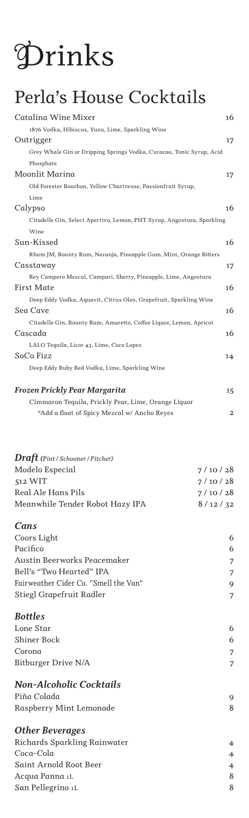# *Drinks*

## *Perla's House Cocktails*

| Catalina Wine Mixer                                                    | 16 |
|------------------------------------------------------------------------|----|
| 1876 Vodka, Hibiscus, Yuzu, Lime, Sparkling Wine                       |    |
| Outrigger                                                              | 17 |
| Grey Whale Gin or Dripping Springs Vodka, Curacao, Tonic Syrup, Acid   |    |
| Phosphate                                                              |    |
| Moonlit Marina                                                         | 17 |
| Old Forester Bourbon, Yellow Chartreuse, Passionfruit Syrup,           |    |
| Lime                                                                   |    |
| Calypso                                                                | 16 |
| Citadelle Gin, Select Apertivo, Lemon, PHT Syrup, Angostura, Sparkling |    |
| Wine                                                                   |    |
| Sun-Kissed                                                             | 16 |
| Rhum JM, Bounty Rum, Naranja, Pineapple Gum, Mint, Orange Bitters      |    |
| Casstaway                                                              | 17 |
| Rey Campero Mezcal, Campari, Sherry, Pineapple, Lime, Angostura        |    |
| First Mate                                                             | 16 |
| Deep Eddy Vodka, Aquavit, Citrus Oleo, Grapefruit, Sparkling Wine      |    |
| Sea Cave                                                               | 16 |
| Citadelle Gin, Bounty Rum, Amaretto, Coffee Liquor, Lemon, Apricot     |    |
| Cascada                                                                | 16 |
| LALO Tequila, Licor 43, Lime, Coco Lopez                               |    |
| SoCo Fizz                                                              | 14 |
| Deep Eddy Ruby Red Vodka, Lime, Sparkling Wine                         |    |
| Frozen Prickly Pear Margarita                                          | 15 |
| Cimmaron Tequila, Prickly Pear, Lime, Orange Liquor                    |    |

|  |  | *Add a float of Spicy Mezcal w/ Ancho Reyes |  |
|--|--|---------------------------------------------|--|

| $\textit{Draft}$ (Pint / Schooner / Pitcher) |                |
|----------------------------------------------|----------------|
| Modelo Especial                              | 7/10/28        |
| 512 WIT                                      | 7/10/28        |
| Real Ale Hans Pils                           | 7/10/28        |
| Meanwhile Tender Robot Hazy IPA              | 8/12/32        |
| Cans                                         |                |
| Coors Light                                  | 6              |
| Pacifico                                     | 6              |
| Austin Beerworks Peacemaker                  | 7              |
| Bell's "Two Hearted" IPA                     | 7              |
| Fairweather Cider Co. "Smell the Van"        | 9              |
| Stiegl Grapefruit Radler                     | 7              |
| <b>Bottles</b>                               |                |
| Lone Star                                    | 6              |
| Shiner Bock                                  | 6              |
| Corona                                       | 7              |
| Bitburger Drive N/A                          | 7              |
| <b>Non-Alcoholic Cocktails</b>               |                |
| Piña Colada                                  | 9              |
| Raspberry Mint Lemonade                      | 8              |
| <b>Other Beverages</b>                       |                |
| Richards Sparkling Rainwater                 | $\overline{4}$ |
| Coca-Cola                                    | 4              |
| Saint Arnold Root Beer                       | 4              |
| Acqua Panna 1L                               | 8              |

*San Pellegrino 1L 8*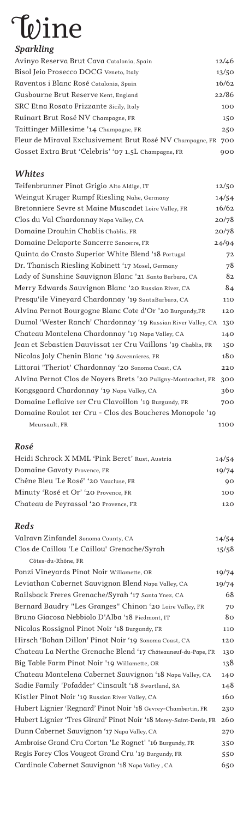## *Wine*

### *Sparkling*

| Avinyo Reserva Brut Cava Catalonia, Spain                     | 12/46 |
|---------------------------------------------------------------|-------|
| Bisol Jeio Prosecco DOCG Veneto, Italy                        | 13/50 |
| Raventos i Blanc Rosé Catalonia, Spain                        | 16/62 |
| Gusbourne Brut Reserve Kent, England                          | 22/86 |
| SRC Etna Rosato Frizzante Sicily, Italy                       | 100   |
| Ruinart Brut Rosé NV Champagne, FR                            | 150   |
| Taittinger Millesime '14 Champagne, FR                        | 250   |
| Fleur de Miraval Exclusivement Brut Rosé NV Champagne, FR 700 |       |
| Gosset Extra Brut 'Celebris' '07 1.5L Champagne, FR           | 900   |

#### *Whites*

| Teifenbrunner Pinot Grigio Alto Aldige, IT                    | 12/50 |
|---------------------------------------------------------------|-------|
| Weingut Kruger Rumpf Riesling Nahe, Germany                   | 14/54 |
| Bretonniere Sevre st Maine Muscadet Loire Valley, FR          | 16/62 |
| Clos du Val Chardonnay Napa Valley, CA                        | 20/78 |
| Domaine Drouhin Chablis Chablis, FR                           | 20/78 |
| Domaine Delaporte Sancerre Sancerre, FR                       | 24/94 |
| Quinta do Crasto Superior White Blend '18 Portugal            | 72    |
| Dr. Thanisch Riesling Kabinett '17 Mosel, Germany             | 78    |
| Lady of Sunshine Sauvignon Blanc '21 Santa Barbara, CA        | 82    |
| Merry Edwards Sauvignon Blanc '20 Russian River, CA           | 84    |
| Presqu'ile Vineyard Chardonnay '19 SantaBarbara, CA           | 110   |
| Alvina Pernot Bourgogne Blanc Cote d'Or '20 Burgundy, FR      | 120   |
| Dumol 'Wester Ranch' Chardonnay '19 Russian River Valley, CA  | 130   |
| Chateau Montelena Chardonnay '19 Napa Valley, CA              | 140   |
| Jean et Sebastien Dauvissat 1er Cru Vaillons '19 Chablis, FR  | 150   |
| Nicolas Joly Chenin Blanc '19 Savennieres, FR                 | 180   |
| Littorai 'Theriot' Chardonnay '20 Sonoma Coast, CA            | 220   |
| Alvina Pernot Clos de Noyers Brets '20 Puligny-Montrachet, FR | 300   |
| Kongsgaard Chardonnay '19 Napa Valley, CA                     | 360   |
| Domaine Leflaive 1er Cru Clavoillon '19 Burgundy, FR          | 700   |
| Domaine Roulot 1er Cru - Clos des Boucheres Monopole '19      |       |
| Meursault, FR                                                 | 1100  |

#### *Rosé*

| Heidi Schrock X MML 'Pink Beret' Rust, Austria | 14/54 |
|------------------------------------------------|-------|
| Domaine Gavoty Provence, FR                    | 19/74 |
| Chêne Bleu 'Le Rosé' '20 Vaucluse, FR          | 90    |
| Minuty 'Rosé et Or' '20 Provence, FR           | 100   |
| Chateau de Peyrassol '20 Provence, FR          | 120   |
|                                                |       |

#### *Reds*

| Valravn Zinfandel Sonoma County, CA                               | 14/54 |
|-------------------------------------------------------------------|-------|
| Clos de Caillou 'Le Caillou' Grenache/Syrah                       | 15/58 |
| Côtes-du-Rhône, FR                                                |       |
| Ponzi Vineyards Pinot Noir Willamette, OR                         | 19/74 |
| Leviathan Cabernet Sauvignon Blend Napa Valley, CA                | 19/74 |
| Railsback Freres Grenache/Syrah '17 Santa Ynez, CA                | 68    |
| Bernard Baudry "Les Granges" Chinon '20 Loire Valley, FR          | 70    |
| Bruno Giacosa Nebbiolo D'Alba '18 Piedmont, IT                    | 80    |
| Nicolas Rossignol Pinot Noir '18 Burgundy, FR                     | 110   |
| Hirsch 'Bohan Dillon' Pinot Noir '19 Sonoma Coast, CA             | 120   |
| Chateau La Nerthe Grenache Blend '17 Cháteauneuf-du-Pape, FR      | 130   |
| Big Table Farm Pinot Noir '19 Willamette, OR                      | 138   |
| Chateau Montelena Cabernet Sauvignon '18 Napa Valley, CA          | 140   |
| Sadie Family 'Pofadder' Cinsault '18 Swartland, SA                | 148   |
| Kistler Pinot Noir '19 Russian River Valley, CA                   | 160   |
| Hubert Lignier 'Regnard' Pinot Noir '18 Gevrey-Chambertin, FR     | 230   |
| Hubert Lignier 'Tres Girard' Pinot Noir '18 Morey-Saint-Denis, FR | 260   |
| Dunn Cabernet Sauvignon '17 Napa Valley, CA                       | 270   |
| Ambroise Grand Cru Corton 'Le Rognet' '16 Burgundy, FR            | 350   |
| Regis Forey Clos Vougeot Grand Cru '19 Burgundy, FR               | 550   |
| Cardinale Cabernet Sauvignon '18 Napa Valley, CA                  | 650   |